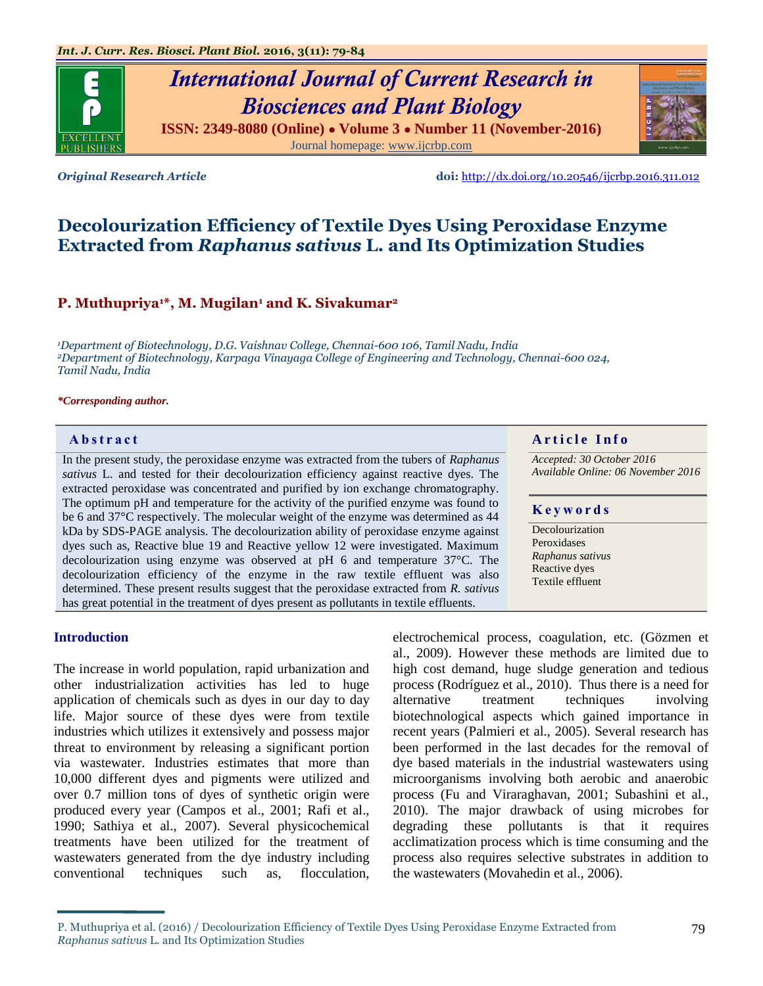

**ISSN: 2349-8080 (Online) ● Volume 3 ● Number 11 (November-2016)** Journal homepage: [www.ijcrbp.com](http://www.ijcrbp.com/)



*Original Research Article* **doi:** <http://dx.doi.org/10.20546/ijcrbp.2016.311.012>

# **Decolourization Efficiency of Textile Dyes Using Peroxidase Enzyme Extracted from** *Raphanus sativus* **L. and Its Optimization Studies**

## **P. Muthupriya1\*, M. Mugilan<sup>1</sup> and K. Sivakumar<sup>2</sup>**

*<sup>1</sup>Department of Biotechnology, D.G. Vaishnav College, Chennai-600 106, Tamil Nadu, India <sup>2</sup>Department of Biotechnology, Karpaga Vinayaga College of Engineering and Technology, Chennai-600 024, Tamil Nadu, India*

#### *\*Corresponding author.*

In the present study, the peroxidase enzyme was extracted from the tubers of *Raphanus sativus* L. and tested for their decolourization efficiency against reactive dyes. The extracted peroxidase was concentrated and purified by ion exchange chromatography. The optimum pH and temperature for the activity of the purified enzyme was found to be 6 and 37°C respectively. The molecular weight of the enzyme was determined as 44 kDa by SDS-PAGE analysis. The decolourization ability of peroxidase enzyme against dyes such as, Reactive blue 19 and Reactive yellow 12 were investigated. Maximum decolourization using enzyme was observed at pH 6 and temperature 37°C. The decolourization efficiency of the enzyme in the raw textile effluent was also determined. These present results suggest that the peroxidase extracted from *R. sativus*  has great potential in the treatment of dyes present as pollutants in textile effluents.

## **Introduction**

The increase in world population, rapid urbanization and other industrialization activities has led to huge application of chemicals such as dyes in our day to day life. Major source of these dyes were from textile industries which utilizes it extensively and possess major threat to environment by releasing a significant portion via wastewater. Industries estimates that more than 10,000 different dyes and pigments were utilized and over 0.7 million tons of dyes of synthetic origin were produced every year (Campos et al., 2001; Rafi et al., 1990; Sathiya et al., 2007). Several physicochemical treatments have been utilized for the treatment of wastewaters generated from the dye industry including conventional techniques such as, flocculation,

**Abstract And a region of the Info**  $\alpha$  **Article Info** 

*Accepted: 30 October 2016 Available Online: 06 November 2016*

## **K e y w o r d s**

Decolourization Peroxidases *Raphanus sativus*  Reactive dyes Textile effluent

electrochemical process, coagulation, etc. (Gözmen et al., 2009). However these methods are limited due to high cost demand, huge sludge generation and tedious process (Rodríguez et al., 2010). Thus there is a need for alternative treatment techniques involving biotechnological aspects which gained importance in recent years (Palmieri et al., 2005). Several research has been performed in the last decades for the removal of dye based materials in the industrial wastewaters using microorganisms involving both aerobic and anaerobic process (Fu and Viraraghavan, 2001; Subashini et al., 2010). The major drawback of using microbes for degrading these pollutants is that it requires acclimatization process which is time consuming and the process also requires selective substrates in addition to the wastewaters (Movahedin et al., 2006).

P. Muthupriya et al. (2016) / Decolourization Efficiency of Textile Dyes Using Peroxidase Enzyme Extracted from *Raphanus sativus* L. and Its Optimization Studies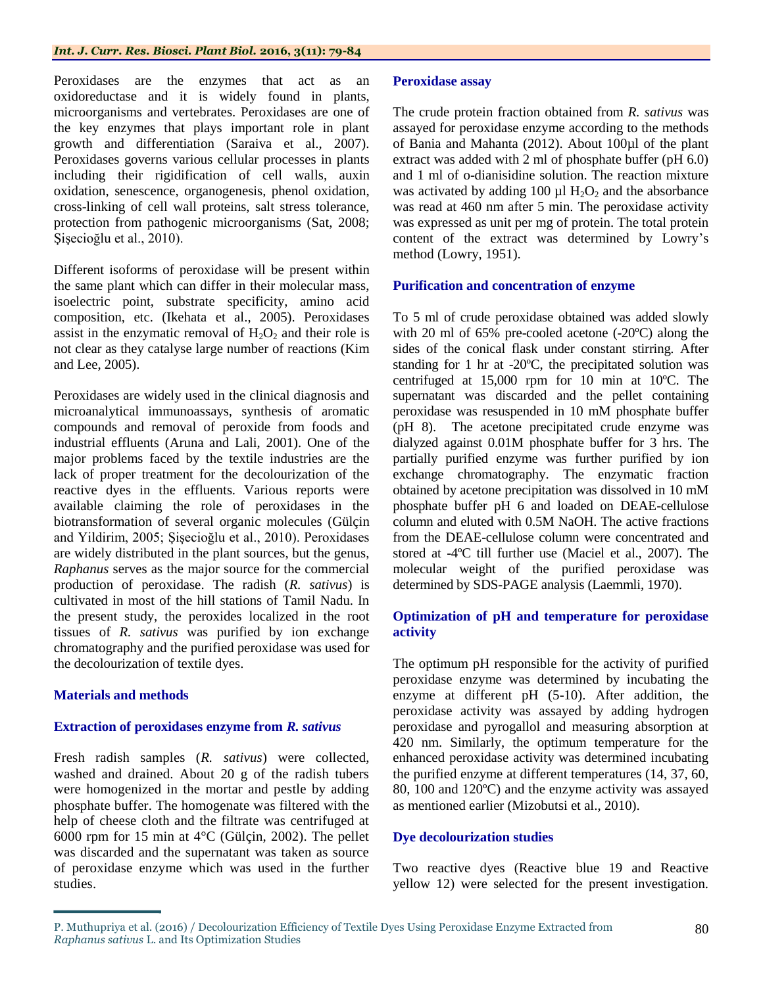Peroxidases are the enzymes that act as an oxidoreductase and it is widely found in plants, microorganisms and vertebrates. Peroxidases are one of the key enzymes that plays important role in plant growth and differentiation (Saraiva et al., 2007). Peroxidases governs various cellular processes in plants including their rigidification of cell walls, auxin oxidation, senescence, organogenesis, phenol oxidation, cross-linking of cell wall proteins, salt stress tolerance, protection from pathogenic microorganisms (Sat, 2008; Şişecioğlu et al., 2010).

Different isoforms of peroxidase will be present within the same plant which can differ in their molecular mass, isoelectric point, substrate specificity, amino acid composition, etc. (Ikehata et al., 2005). Peroxidases assist in the enzymatic removal of  $H_2O_2$  and their role is not clear as they catalyse large number of reactions (Kim and Lee, 2005).

Peroxidases are widely used in the clinical diagnosis and microanalytical immunoassays, synthesis of aromatic compounds and removal of peroxide from foods and industrial effluents (Aruna and Lali, 2001). One of the major problems faced by the textile industries are the lack of proper treatment for the decolourization of the reactive dyes in the effluents. Various reports were available claiming the role of peroxidases in the biotransformation of several organic molecules (Gülçin and Yildirim, 2005; Şişecioğlu et al., 2010). Peroxidases are widely distributed in the plant sources, but the genus, *Raphanus* serves as the major source for the commercial production of peroxidase. The radish (*R. sativus*) is cultivated in most of the hill stations of Tamil Nadu. In the present study, the peroxides localized in the root tissues of *R. sativus* was purified by ion exchange chromatography and the purified peroxidase was used for the decolourization of textile dyes.

## **Materials and methods**

## **Extraction of peroxidases enzyme from** *R. sativus*

Fresh radish samples (*R. sativus*) were collected, washed and drained. About 20 g of the radish tubers were homogenized in the mortar and pestle by adding phosphate buffer. The homogenate was filtered with the help of cheese cloth and the filtrate was centrifuged at 6000 rpm for 15 min at 4°C (Gülçin, 2002). The pellet was discarded and the supernatant was taken as source of peroxidase enzyme which was used in the further studies.

## **Peroxidase assay**

The crude protein fraction obtained from *R. sativus* was assayed for peroxidase enzyme according to the methods of Bania and Mahanta (2012). About 100µl of the plant extract was added with 2 ml of phosphate buffer (pH 6.0) and 1 ml of o-dianisidine solution. The reaction mixture was activated by adding 100  $\mu$ l H<sub>2</sub>O<sub>2</sub> and the absorbance was read at 460 nm after 5 min. The peroxidase activity was expressed as unit per mg of protein. The total protein content of the extract was determined by Lowry's method (Lowry, 1951).

## **Purification and concentration of enzyme**

To 5 ml of crude peroxidase obtained was added slowly with 20 ml of 65% pre-cooled acetone (-20ºC) along the sides of the conical flask under constant stirring. After standing for 1 hr at -20ºC, the precipitated solution was centrifuged at 15,000 rpm for 10 min at 10ºC. The supernatant was discarded and the pellet containing peroxidase was resuspended in 10 mM phosphate buffer (pH 8). The acetone precipitated crude enzyme was dialyzed against 0.01M phosphate buffer for 3 hrs. The partially purified enzyme was further purified by ion exchange chromatography. The enzymatic fraction obtained by acetone precipitation was dissolved in 10 mM phosphate buffer pH 6 and loaded on DEAE-cellulose column and eluted with 0.5M NaOH. The active fractions from the DEAE-cellulose column were concentrated and stored at -4ºC till further use (Maciel et al., 2007). The molecular weight of the purified peroxidase was determined by SDS-PAGE analysis (Laemmli, 1970).

## **Optimization of pH and temperature for peroxidase activity**

The optimum pH responsible for the activity of purified peroxidase enzyme was determined by incubating the enzyme at different pH (5-10). After addition, the peroxidase activity was assayed by adding hydrogen peroxidase and pyrogallol and measuring absorption at 420 nm. Similarly, the optimum temperature for the enhanced peroxidase activity was determined incubating the purified enzyme at different temperatures (14, 37, 60, 80, 100 and 120ºC) and the enzyme activity was assayed as mentioned earlier (Mizobutsi et al., 2010).

## **Dye decolourization studies**

Two reactive dyes (Reactive blue 19 and Reactive yellow 12) were selected for the present investigation.

P. Muthupriya et al. (2016) / Decolourization Efficiency of Textile Dyes Using Peroxidase Enzyme Extracted from *Raphanus sativus* L. and Its Optimization Studies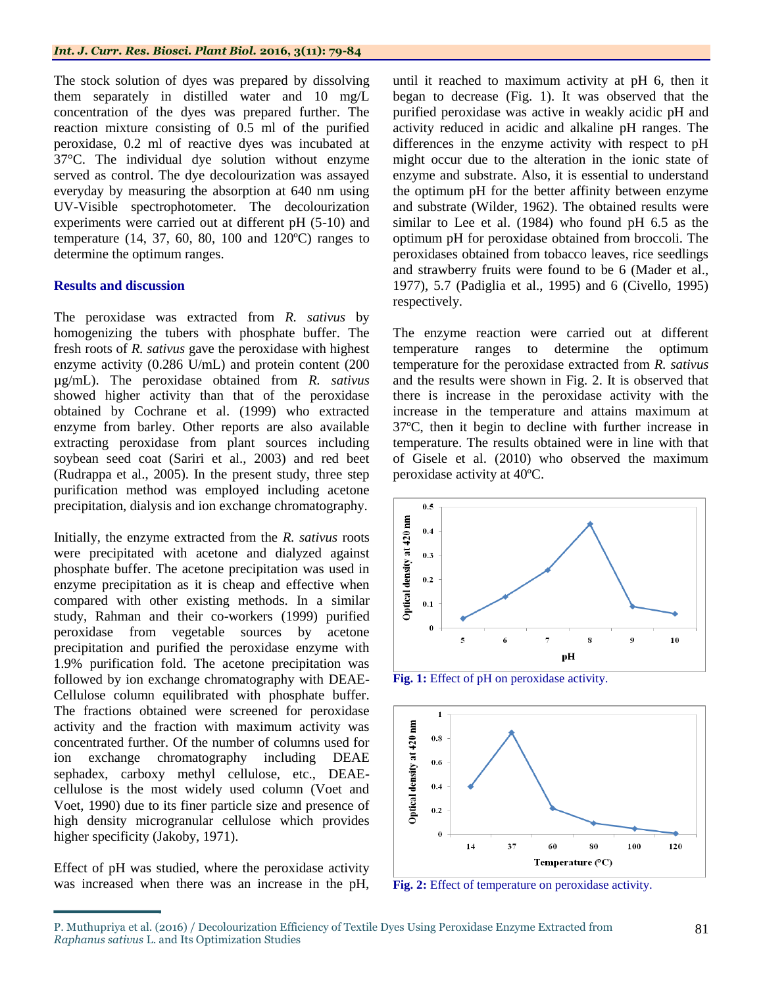The stock solution of dyes was prepared by dissolving them separately in distilled water and 10 mg/L concentration of the dyes was prepared further. The reaction mixture consisting of 0.5 ml of the purified peroxidase, 0.2 ml of reactive dyes was incubated at 37°C. The individual dye solution without enzyme served as control. The dye decolourization was assayed everyday by measuring the absorption at 640 nm using UV-Visible spectrophotometer. The decolourization experiments were carried out at different pH (5-10) and temperature (14, 37, 60, 80, 100 and 120ºC) ranges to determine the optimum ranges.

## **Results and discussion**

The peroxidase was extracted from *R. sativus* by homogenizing the tubers with phosphate buffer. The fresh roots of *R. sativus* gave the peroxidase with highest enzyme activity (0.286 U/mL) and protein content (200 µg/mL). The peroxidase obtained from *R. sativus* showed higher activity than that of the peroxidase obtained by Cochrane et al. (1999) who extracted enzyme from barley. Other reports are also available extracting peroxidase from plant sources including soybean seed coat (Sariri et al., 2003) and red beet (Rudrappa et al., 2005). In the present study, three step purification method was employed including acetone precipitation, dialysis and ion exchange chromatography.

Initially, the enzyme extracted from the *R. sativus* roots were precipitated with acetone and dialyzed against phosphate buffer. The acetone precipitation was used in enzyme precipitation as it is cheap and effective when compared with other existing methods. In a similar study, Rahman and their co-workers (1999) purified peroxidase from vegetable sources by acetone precipitation and purified the peroxidase enzyme with 1.9% purification fold. The acetone precipitation was followed by ion exchange chromatography with DEAE-Cellulose column equilibrated with phosphate buffer. The fractions obtained were screened for peroxidase activity and the fraction with maximum activity was concentrated further. Of the number of columns used for ion exchange chromatography including DEAE sephadex, carboxy methyl cellulose, etc., DEAEcellulose is the most widely used column (Voet and Voet, 1990) due to its finer particle size and presence of high density microgranular cellulose which provides higher specificity (Jakoby, 1971).

Effect of pH was studied, where the peroxidase activity was increased when there was an increase in the pH,

until it reached to maximum activity at pH 6, then it began to decrease (Fig. 1). It was observed that the purified peroxidase was active in weakly acidic pH and activity reduced in acidic and alkaline pH ranges. The differences in the enzyme activity with respect to pH might occur due to the alteration in the ionic state of enzyme and substrate. Also, it is essential to understand the optimum pH for the better affinity between enzyme and substrate (Wilder, 1962). The obtained results were similar to Lee et al. (1984) who found pH 6.5 as the optimum pH for peroxidase obtained from broccoli. The peroxidases obtained from tobacco leaves, rice seedlings and strawberry fruits were found to be 6 (Mader et al., 1977), 5.7 (Padiglia et al., 1995) and 6 (Civello, 1995) respectively.

The enzyme reaction were carried out at different temperature ranges to determine the optimum temperature for the peroxidase extracted from *R. sativus* and the results were shown in Fig. 2. It is observed that there is increase in the peroxidase activity with the increase in the temperature and attains maximum at 37ºC, then it begin to decline with further increase in temperature. The results obtained were in line with that of Gisele et al. (2010) who observed the maximum peroxidase activity at 40ºC.



**Fig. 1:** Effect of pH on peroxidase activity.



**Fig. 2:** Effect of temperature on peroxidase activity.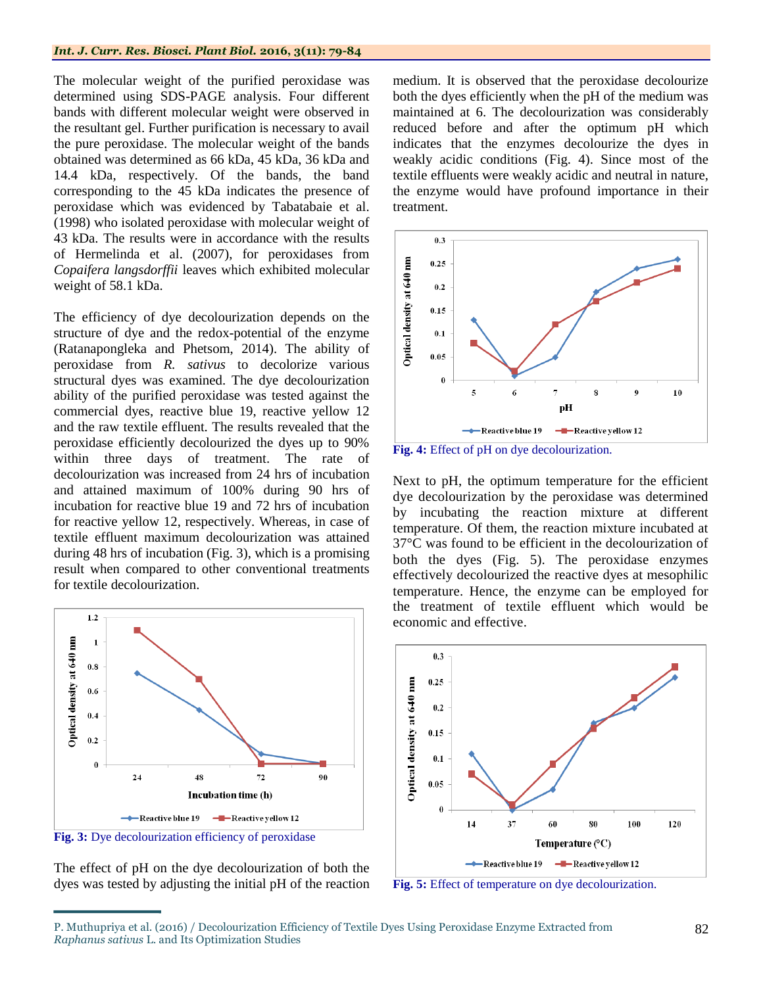### *Int. J. Curr. Res. Biosci. Plant Biol.* **2016, 3(11): 79-84**

The molecular weight of the purified peroxidase was determined using SDS-PAGE analysis. Four different bands with different molecular weight were observed in the resultant gel. Further purification is necessary to avail the pure peroxidase. The molecular weight of the bands obtained was determined as 66 kDa, 45 kDa, 36 kDa and 14.4 kDa, respectively. Of the bands, the band corresponding to the 45 kDa indicates the presence of peroxidase which was evidenced by Tabatabaie et al. (1998) who isolated peroxidase with molecular weight of 43 kDa. The results were in accordance with the results of Hermelinda et al. (2007), for peroxidases from *Copaifera langsdorffii* leaves which exhibited molecular weight of 58.1 kDa.

The efficiency of dye decolourization depends on the structure of dye and the redox-potential of the enzyme (Ratanapongleka and Phetsom, 2014). The ability of peroxidase from *R. sativus* to decolorize various structural dyes was examined. The dye decolourization ability of the purified peroxidase was tested against the commercial dyes, reactive blue 19, reactive yellow 12 and the raw textile effluent. The results revealed that the peroxidase efficiently decolourized the dyes up to 90% within three days of treatment. The rate of decolourization was increased from 24 hrs of incubation and attained maximum of 100% during 90 hrs of incubation for reactive blue 19 and 72 hrs of incubation for reactive yellow 12, respectively. Whereas, in case of textile effluent maximum decolourization was attained during 48 hrs of incubation (Fig. 3), which is a promising result when compared to other conventional treatments for textile decolourization.



**Fig. 3:** Dye decolourization efficiency of peroxidase

The effect of pH on the dye decolourization of both the dyes was tested by adjusting the initial pH of the reaction medium. It is observed that the peroxidase decolourize both the dyes efficiently when the pH of the medium was maintained at 6. The decolourization was considerably reduced before and after the optimum pH which indicates that the enzymes decolourize the dyes in weakly acidic conditions (Fig. 4). Since most of the textile effluents were weakly acidic and neutral in nature, the enzyme would have profound importance in their treatment.



**Fig. 4:** Effect of pH on dye decolourization.

Next to pH, the optimum temperature for the efficient dye decolourization by the peroxidase was determined by incubating the reaction mixture at different temperature. Of them, the reaction mixture incubated at 37°C was found to be efficient in the decolourization of both the dyes (Fig. 5). The peroxidase enzymes effectively decolourized the reactive dyes at mesophilic temperature. Hence, the enzyme can be employed for the treatment of textile effluent which would be economic and effective.



**Fig. 5:** Effect of temperature on dye decolourization.

P. Muthupriya et al. (2016) / Decolourization Efficiency of Textile Dyes Using Peroxidase Enzyme Extracted from *Raphanus sativus* L. and Its Optimization Studies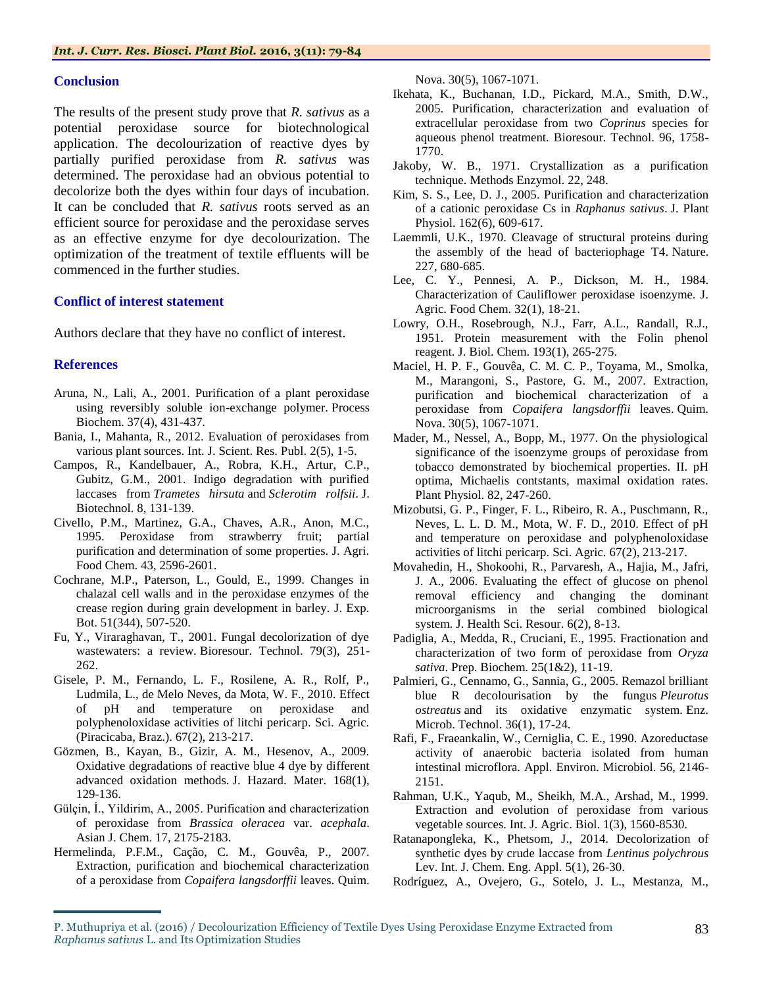## **Conclusion**

The results of the present study prove that *R. sativus* as a potential peroxidase source for biotechnological application. The decolourization of reactive dyes by partially purified peroxidase from *R. sativus* was determined. The peroxidase had an obvious potential to decolorize both the dyes within four days of incubation. It can be concluded that *R. sativus* roots served as an efficient source for peroxidase and the peroxidase serves as an effective enzyme for dye decolourization. The optimization of the treatment of textile effluents will be commenced in the further studies.

## **Conflict of interest statement**

Authors declare that they have no conflict of interest.

## **References**

- Aruna, N., Lali, A., 2001. Purification of a plant peroxidase using reversibly soluble ion-exchange polymer. Process Biochem. 37(4), 431-437.
- Bania, I., Mahanta, R., 2012. Evaluation of peroxidases from various plant sources. Int. J. Scient. Res. Publ. 2(5), 1-5.
- Campos, R., Kandelbauer, A., Robra, K.H., Artur, C.P., Gubitz, G.M., 2001. Indigo degradation with purified laccases from *Trametes hirsuta* and *Sclerotim rolfsii*. J. Biotechnol. 8, 131-139.
- Civello, P.M., Martinez, G.A., Chaves, A.R., Anon, M.C., 1995. Peroxidase from strawberry fruit; partial purification and determination of some properties. J. Agri. Food Chem. 43, 2596-2601.
- Cochrane, M.P., Paterson, L., Gould, E., 1999. Changes in chalazal cell walls and in the peroxidase enzymes of the crease region during grain development in barley. J. Exp. Bot. 51(344), 507-520.
- Fu, Y., Viraraghavan, T., 2001. Fungal decolorization of dye wastewaters: a review. Bioresour. Technol. 79(3), 251- 262.
- Gisele, P. M., Fernando, L. F., Rosilene, A. R., Rolf, P., Ludmila, L., de Melo Neves, da Mota, W. F., 2010. Effect of pH and temperature on peroxidase and polyphenoloxidase activities of litchi pericarp. Sci. Agric. (Piracicaba, Braz.). 67(2), 213-217.
- Gözmen, B., Kayan, B., Gizir, A. M., Hesenov, A., 2009. Oxidative degradations of reactive blue 4 dye by different advanced oxidation methods. J. Hazard. Mater. 168(1), 129-136.
- Gülçin, İ., Yildirim, A., 2005. Purification and characterization of peroxidase from *Brassica oleracea* var. *acephala*. Asian J. Chem. 17, 2175-2183.
- Hermelinda, P.F.M., Cação, C. M., Gouvêa, P., 2007. Extraction, purification and biochemical characterization of a peroxidase from *Copaifera langsdorffii* leaves. Quim.

Nova. 30(5), 1067-1071.

- Ikehata, K., Buchanan, I.D., Pickard, M.A., Smith, D.W., 2005. Purification, characterization and evaluation of extracellular peroxidase from two *Coprinus* species for aqueous phenol treatment. Bioresour. Technol. 96, 1758- 1770.
- Jakoby, W. B., 1971. Crystallization as a purification technique. Methods Enzymol. 22, 248.
- Kim, S. S., Lee, D. J., 2005. Purification and characterization of a cationic peroxidase Cs in *Raphanus sativus*. J. Plant Physiol. 162(6), 609-617.
- Laemmli, U.K., 1970. Cleavage of structural proteins during the assembly of the head of bacteriophage T4. Nature. 227, 680-685.
- Lee, C. Y., Pennesi, A. P., Dickson, M. H., 1984. Characterization of Cauliflower peroxidase isoenzyme. J. Agric. Food Chem. 32(1), 18-21.
- Lowry, O.H., Rosebrough, N.J., Farr, A.L., Randall, R.J., 1951. Protein measurement with the Folin phenol reagent. J. Biol. Chem. 193(1), 265-275.
- Maciel, H. P. F., Gouvêa, C. M. C. P., Toyama, M., Smolka, M., Marangoni, S., Pastore, G. M., 2007. Extraction, purification and biochemical characterization of a peroxidase from *Copaifera langsdorffii* leaves. Quim. Nova. 30(5), 1067-1071.
- Mader, M., Nessel, A., Bopp, M., 1977. On the physiological significance of the isoenzyme groups of peroxidase from tobacco demonstrated by biochemical properties. II. pH optima, Michaelis contstants, maximal oxidation rates. Plant Physiol. 82, 247-260.
- Mizobutsi, G. P., Finger, F. L., Ribeiro, R. A., Puschmann, R., Neves, L. L. D. M., Mota, W. F. D., 2010. Effect of pH and temperature on peroxidase and polyphenoloxidase activities of litchi pericarp. Sci. Agric. 67(2), 213-217.
- Movahedin, H., Shokoohi, R., Parvaresh, A., Hajia, M., Jafri, J. A., 2006. Evaluating the effect of glucose on phenol removal efficiency and changing the dominant microorganisms in the serial combined biological system. J. Health Sci. Resour. 6(2), 8-13.
- Padiglia, A., Medda, R., Cruciani, E., 1995. Fractionation and characterization of two form of peroxidase from *Oryza sativa*. Prep. Biochem. 25(1&2), 11-19.
- Palmieri, G., Cennamo, G., Sannia, G., 2005. Remazol brilliant blue R decolourisation by the fungus *Pleurotus ostreatus* and its oxidative enzymatic system. Enz. Microb. Technol. 36(1), 17-24.
- Rafi, F., Fraeankalin, W., Cerniglia, C. E., 1990. Azoreductase activity of anaerobic bacteria isolated from human intestinal microflora. Appl. Environ. Microbiol. 56, 2146- 2151.
- Rahman, U.K., Yaqub, M., Sheikh, M.A., Arshad, M., 1999. Extraction and evolution of peroxidase from various vegetable sources. Int. J. Agric. Biol. 1(3), 1560-8530.
- Ratanapongleka, K., Phetsom, J., 2014. Decolorization of synthetic dyes by crude laccase from *Lentinus polychrous* Lev. Int. J. Chem. Eng. Appl. 5(1), 26-30.
- Rodríguez, A., Ovejero, G., Sotelo, J. L., Mestanza, M.,